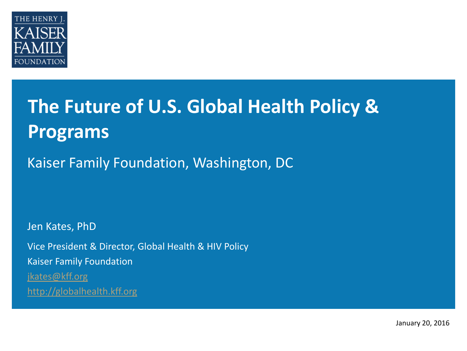

# **The Future of U.S. Global Health Policy & Programs**

Kaiser Family Foundation, Washington, DC

Jen Kates, PhD Vice President & Director, Global Health & HIV Policy Kaiser Family Foundation [jkates@kff.org](mailto:awexler@kff.org) [http://globalhealth.kff.org](http://globalhealth.kff.org/)

January 20, 2016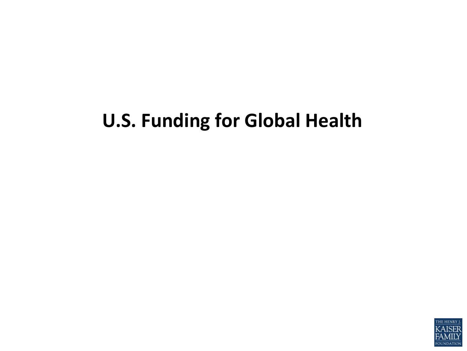# **U.S. Funding for Global Health**

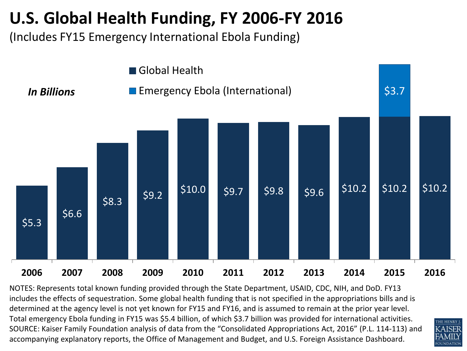## **U.S. Global Health Funding, FY 2006-FY 2016**

(Includes FY15 Emergency International Ebola Funding)



NOTES: Represents total known funding provided through the State Department, USAID, CDC, NIH, and DoD. FY13 includes the effects of sequestration. Some global health funding that is not specified in the appropriations bills and is determined at the agency level is not yet known for FY15 and FY16, and is assumed to remain at the prior year level. Total emergency Ebola funding in FY15 was \$5.4 billion, of which \$3.7 billion was provided for international activities. SOURCE: Kaiser Family Foundation analysis of data from the "Consolidated Appropriations Act, 2016" (P.L. 114-113) and accompanying explanatory reports, the Office of Management and Budget, and U.S. Foreign Assistance Dashboard.

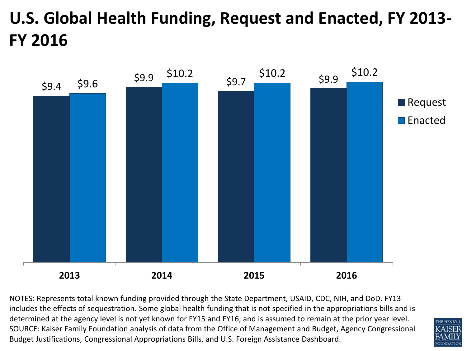# **U.S. Global Health Funding, Request and Enacted, FY 2013- FY 2016**



NOTES: Represents total known funding provided through the State Department, USAID, CDC, NIH, and DoD. FY13 includes the effects of sequestration. Some global health funding that is not specified in the appropriations bills and is determined at the agency level is not yet known for FY15 and FY16, and is assumed to remain at the prior year level. SOURCE: Kaiser Family Foundation analysis of data from the Office of Management and Budget, Agency Congressional Budget Justifications, Congressional Appropriations Bills, and U.S. Foreign Assistance Dashboard.

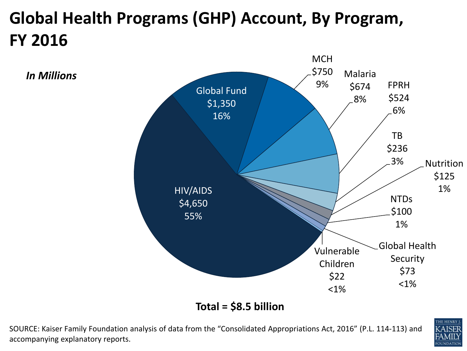# **Global Health Programs (GHP) Account, By Program, FY 2016**

*In Millions*



**Total = \$8.5 billion**

SOURCE: Kaiser Family Foundation analysis of data from the "Consolidated Appropriations Act, 2016" (P.L. 114-113) and accompanying explanatory reports.

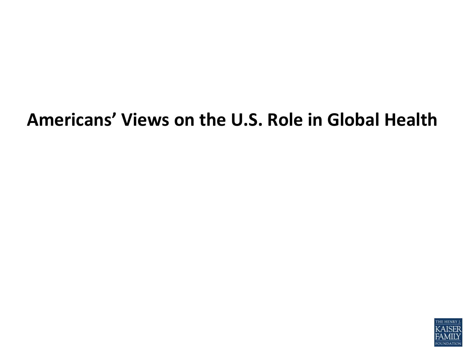# **Americans' Views on the U.S. Role in Global Health**

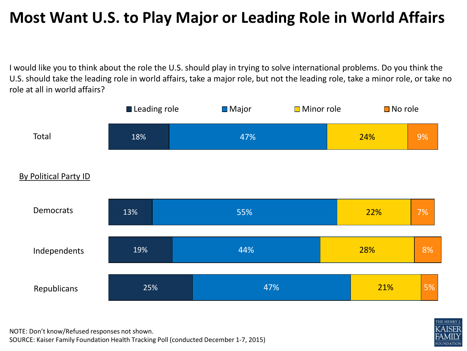#### **Most Want U.S. to Play Major or Leading Role in World Affairs**

I would like you to think about the role the U.S. should play in trying to solve international problems. Do you think the U.S. should take the leading role in world affairs, take a major role, but not the leading role, take a minor role, or take no role at all in world affairs?





NOTE: Don't know/Refused responses not shown.

SOURCE: Kaiser Family Foundation Health Tracking Poll (conducted December 1-7, 2015)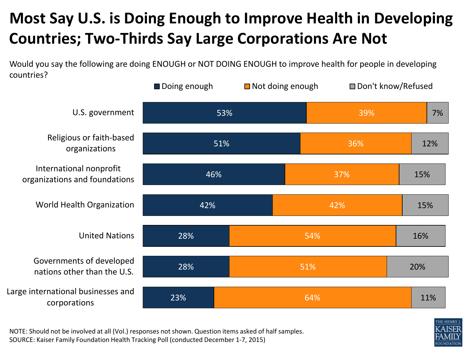#### **Most Say U.S. is Doing Enough to Improve Health in Developing Countries; Two-Thirds Say Large Corporations Are Not**

Would you say the following are doing ENOUGH or NOT DOING ENOUGH to improve health for people in developing countries?

|                                                          | Doing enough | $\blacksquare$ Not doing enough | Don't know/Refused |     |
|----------------------------------------------------------|--------------|---------------------------------|--------------------|-----|
| U.S. government                                          | 53%          |                                 | 39%                | 7%  |
| Religious or faith-based<br>organizations                | 51%          |                                 | 36%                | 12% |
| International nonprofit<br>organizations and foundations | 46%          |                                 | 37%                | 15% |
| World Health Organization                                | 42%          |                                 | 42%                | 15% |
| <b>United Nations</b>                                    | 28%          | 54%                             |                    | 16% |
| Governments of developed<br>nations other than the U.S.  | 28%          | 51%                             |                    | 20% |
| Large international businesses and<br>corporations       | 23%          | 64%                             |                    | 11% |



NOTE: Should not be involved at all (Vol.) responses not shown. Question items asked of half samples. SOURCE: Kaiser Family Foundation Health Tracking Poll (conducted December 1-7, 2015)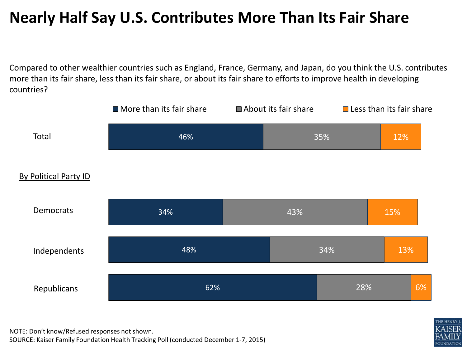#### **Nearly Half Say U.S. Contributes More Than Its Fair Share**

Compared to other wealthier countries such as England, France, Germany, and Japan, do you think the U.S. contributes more than its fair share, less than its fair share, or about its fair share to efforts to improve health in developing countries?



NOTE: Don't know/Refused responses not shown. SOURCE: Kaiser Family Foundation Health Tracking Poll (conducted December 1-7, 2015)

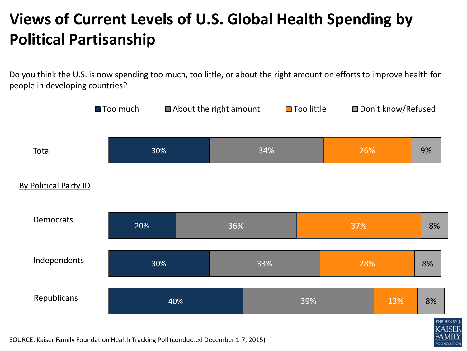#### **Views of Current Levels of U.S. Global Health Spending by Political Partisanship**

Do you think the U.S. is now spending too much, too little, or about the right amount on efforts to improve health for people in developing countries?



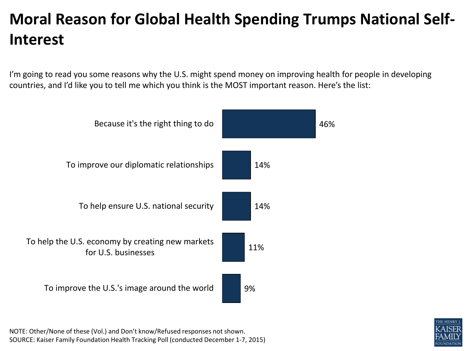## **Moral Reason for Global Health Spending Trumps National Self-Interest**

I'm going to read you some reasons why the U.S. might spend money on improving health for people in developing countries, and I'd like you to tell me which you think is the MOST important reason. Here's the list:



NOTE: Other/None of these (Vol.) and Don't know/Refused responses not shown. SOURCE: Kaiser Family Foundation Health Tracking Poll (conducted December 1-7, 2015)

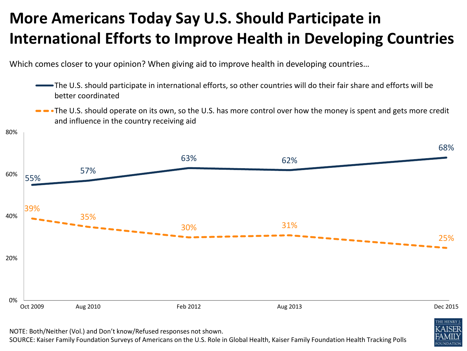#### **More Americans Today Say U.S. Should Participate in International Efforts to Improve Health in Developing Countries**

Which comes closer to your opinion? When giving aid to improve health in developing countries...

- The U.S. should participate in international efforts, so other countries will do their fair share and efforts will be better coordinated
- **-** The U.S. should operate on its own, so the U.S. has more control over how the money is spent and gets more credit and influence in the country receiving aid



NOTE: Both/Neither (Vol.) and Don't know/Refused responses not shown.

SOURCE: Kaiser Family Foundation Surveys of Americans on the U.S. Role in Global Health, Kaiser Family Foundation Health Tracking Polls

**JUNDATION**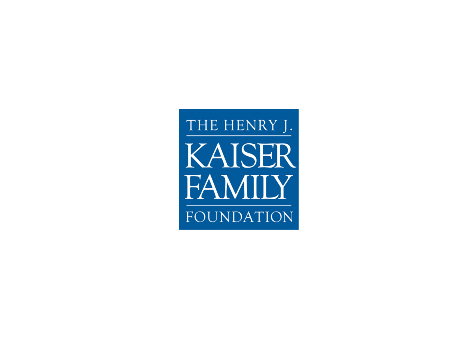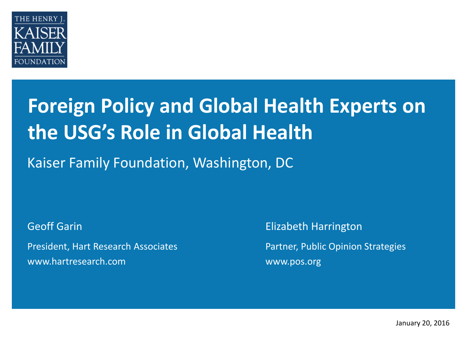

# **Foreign Policy and Global Health Experts on the USG's Role in Global Health**

Kaiser Family Foundation, Washington, DC

Geoff Garin

President, Hart Research Associates www.hartresearch.com

Elizabeth Harrington

Partner, Public Opinion Strategies www.pos.org

January 20, 2016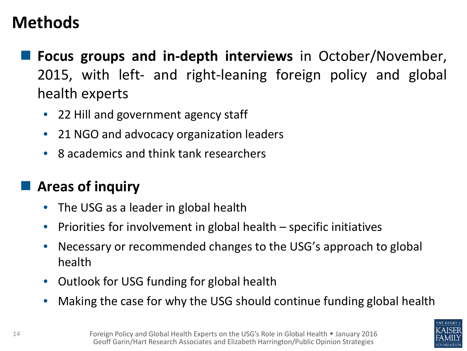## **Methods**

- **Focus groups and in-depth interviews** in October/November, 2015, with left- and right-leaning foreign policy and global health experts
	- 22 Hill and government agency staff
	- 21 NGO and advocacy organization leaders
	- 8 academics and think tank researchers

#### **Areas of inquiry**

- The USG as a leader in global health
- Priorities for involvement in global health specific initiatives
- Necessary or recommended changes to the USG's approach to global health
- Outlook for USG funding for global health
- Making the case for why the USG should continue funding global health

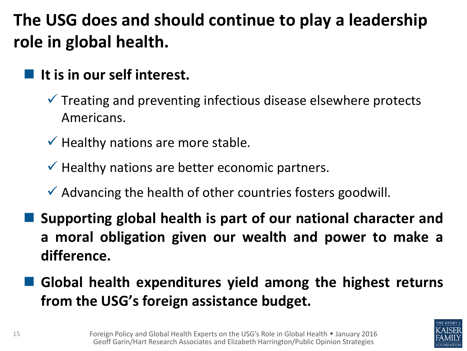# **The USG does and should continue to play a leadership role in global health.**

- **It is in our self interest.**
	- $\checkmark$  Treating and preventing infectious disease elsewhere protects Americans.
	- $\checkmark$  Healthy nations are more stable.
	- $\checkmark$  Healthy nations are better economic partners.
	- $\checkmark$  Advancing the health of other countries fosters goodwill.
	- **Supporting global health is part of our national character and a moral obligation given our wealth and power to make a difference.**
- **Global health expenditures yield among the highest returns from the USG's foreign assistance budget.**

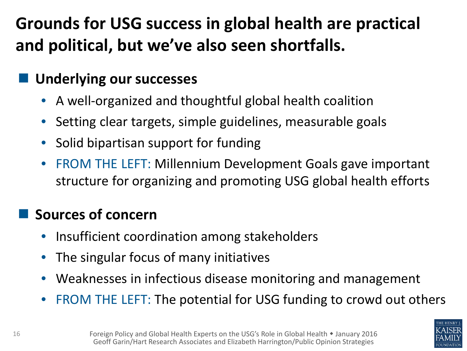# **Grounds for USG success in global health are practical and political, but we've also seen shortfalls.**

#### **Underlying our successes**

- A well-organized and thoughtful global health coalition
- Setting clear targets, simple guidelines, measurable goals
- Solid bipartisan support for funding
- FROM THE LEFT: Millennium Development Goals gave important structure for organizing and promoting USG global health efforts

#### **Sources of concern**

- Insufficient coordination among stakeholders
- The singular focus of many initiatives
- Weaknesses in infectious disease monitoring and management
- FROM THE LEFT: The potential for USG funding to crowd out others

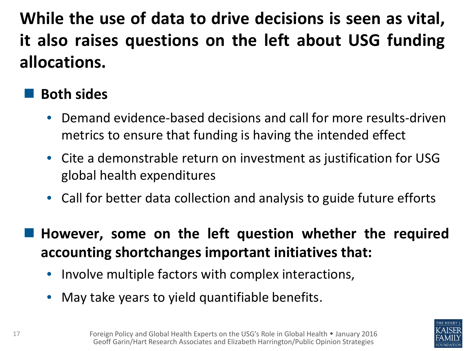**While the use of data to drive decisions is seen as vital, it also raises questions on the left about USG funding allocations.**

#### **Both sides**

- Demand evidence-based decisions and call for more results-driven metrics to ensure that funding is having the intended effect
- Cite a demonstrable return on investment as justification for USG global health expenditures
- Call for better data collection and analysis to guide future efforts
- **However, some on the left question whether the required accounting shortchanges important initiatives that:**
	- Involve multiple factors with complex interactions,
	- May take years to yield quantifiable benefits.

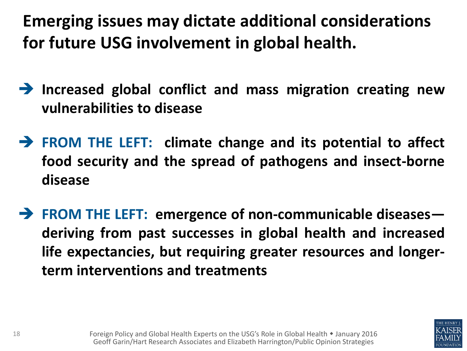**Emerging issues may dictate additional considerations for future USG involvement in global health.**

- **Increased global conflict and mass migration creating new vulnerabilities to disease**
- **FROM THE LEFT: climate change and its potential to affect food security and the spread of pathogens and insect-borne disease**
- **FROM THE LEFT: emergence of non-communicable diseases deriving from past successes in global health and increased life expectancies, but requiring greater resources and longerterm interventions and treatments**

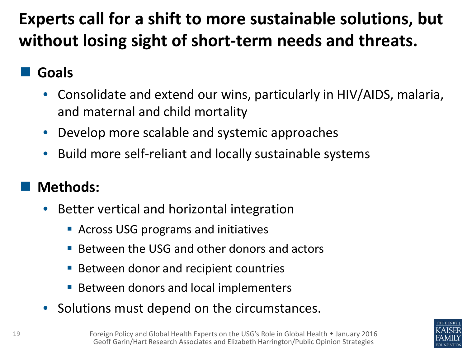# **Experts call for a shift to more sustainable solutions, but without losing sight of short-term needs and threats.**

#### **Goals**

- Consolidate and extend our wins, particularly in HIV/AIDS, malaria, and maternal and child mortality
- Develop more scalable and systemic approaches
- Build more self-reliant and locally sustainable systems

#### **Methods:**

- Better vertical and horizontal integration
	- Across USG programs and initiatives
	- Between the USG and other donors and actors
	- Between donor and recipient countries
	- Between donors and local implementers
- Solutions must depend on the circumstances.

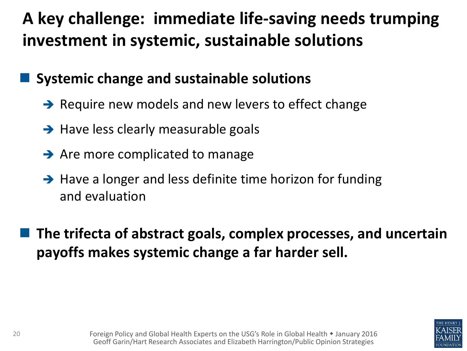# **A key challenge: immediate life-saving needs trumping investment in systemic, sustainable solutions**

#### **Systemic change and sustainable solutions**

- $\rightarrow$  Require new models and new levers to effect change
- $\rightarrow$  Have less clearly measurable goals
- $\rightarrow$  Are more complicated to manage
- $\rightarrow$  Have a longer and less definite time horizon for funding and evaluation

 **The trifecta of abstract goals, complex processes, and uncertain payoffs makes systemic change a far harder sell.**

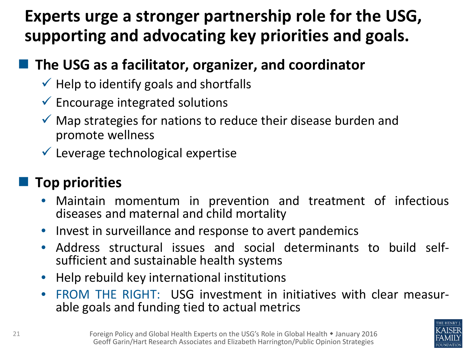## **Experts urge a stronger partnership role for the USG, supporting and advocating key priorities and goals.**

#### **The USG as a facilitator, organizer, and coordinator**

- $\checkmark$  Help to identify goals and shortfalls
- $\checkmark$  Encourage integrated solutions
- $\checkmark$  Map strategies for nations to reduce their disease burden and promote wellness
- $\checkmark$  Leverage technological expertise

#### **Top priorities**

- Maintain momentum in prevention and treatment of infectious diseases and maternal and child mortality
- Invest in surveillance and response to avert pandemics
- Address structural issues and social determinants to build self-<br>sufficient and sustainable health systems
- Help rebuild key international institutions
- FROM THE RIGHT: USG investment in initiatives with clear measur- able goals and funding tied to actual metrics

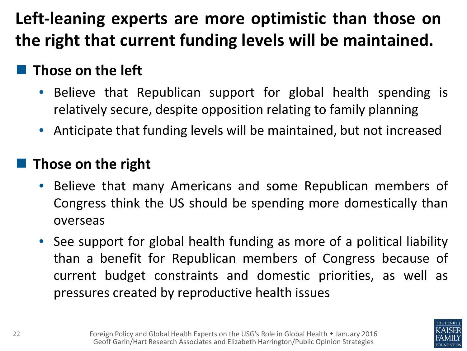# **Left-leaning experts are more optimistic than those on the right that current funding levels will be maintained.**

#### **Those on the left**

- Believe that Republican support for global health spending is relatively secure, despite opposition relating to family planning
- Anticipate that funding levels will be maintained, but not increased

#### **Those on the right**

- Believe that many Americans and some Republican members of Congress think the US should be spending more domestically than overseas
- See support for global health funding as more of a political liability than a benefit for Republican members of Congress because of current budget constraints and domestic priorities, as well as pressures created by reproductive health issues

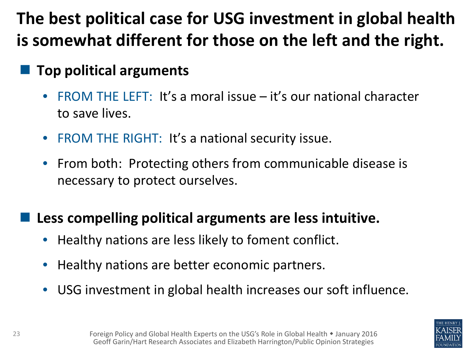# **The best political case for USG investment in global health is somewhat different for those on the left and the right.**

#### **Top political arguments**

- FROM THE LEFT: It's a moral issue it's our national character to save lives.
- FROM THE RIGHT: It's a national security issue.
- From both: Protecting others from communicable disease is necessary to protect ourselves.

#### **Less compelling political arguments are less intuitive.**

- Healthy nations are less likely to foment conflict.
- Healthy nations are better economic partners.
- USG investment in global health increases our soft influence.

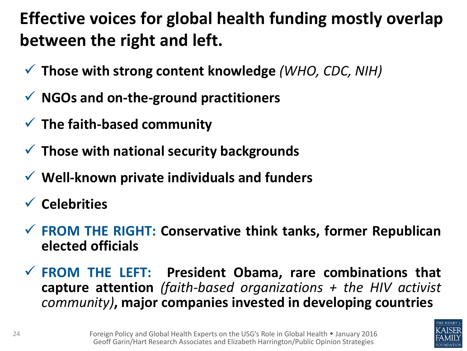# **Effective voices for global health funding mostly overlap between the right and left.**

- **Those with strong content knowledge** *(WHO, CDC, NIH)*
- **NGOs and on-the-ground practitioners**
- **The faith-based community**
- **Those with national security backgrounds**
- **Well-known private individuals and funders**
- **Celebrities**
- **FROM THE RIGHT: Conservative think tanks, former Republican elected officials**
- **FROM THE LEFT: President Obama, rare combinations that capture attention** *(faith-based organizations + the HIV activist community)***, major companies invested in developing countries**

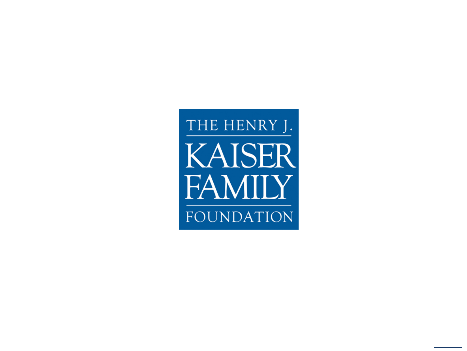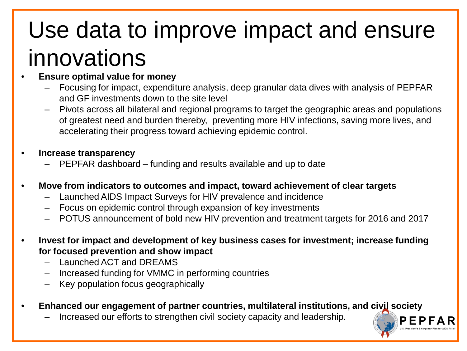# Use data to improve impact and ensure innovations

- **Ensure optimal value for money**
	- Focusing for impact, expenditure analysis, deep granular data dives with analysis of PEPFAR and GF investments down to the site level
	- Pivots across all bilateral and regional programs to target the geographic areas and populations of greatest need and burden thereby, preventing more HIV infections, saving more lives, and accelerating their progress toward achieving epidemic control.
- **Increase transparency**
	- PEPFAR dashboard funding and results available and up to date
- **Move from indicators to outcomes and impact, toward achievement of clear targets**
	- Launched AIDS Impact Surveys for HIV prevalence and incidence
	- Focus on epidemic control through expansion of key investments
	- POTUS announcement of bold new HIV prevention and treatment targets for 2016 and 2017
- **Invest for impact and development of key business cases for investment; increase funding for focused prevention and show impact**
	- Launched ACT and DREAMS
	- Increased funding for VMMC in performing countries
	- Key population focus geographically
- **Enhanced our engagement of partner countries, multilateral institutions, and civil society**
	- Increased our efforts to strengthen civil society capacity and leadership.

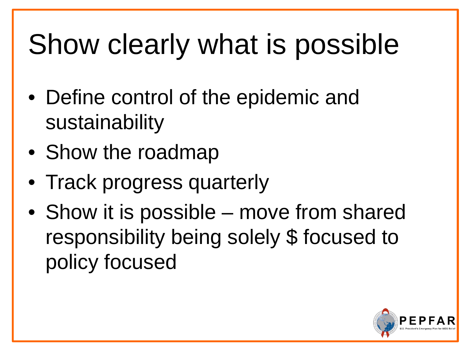# Show clearly what is possible

- Define control of the epidemic and sustainability
- Show the roadmap
- Track progress quarterly
- Show it is possible move from shared responsibility being solely \$ focused to policy focused

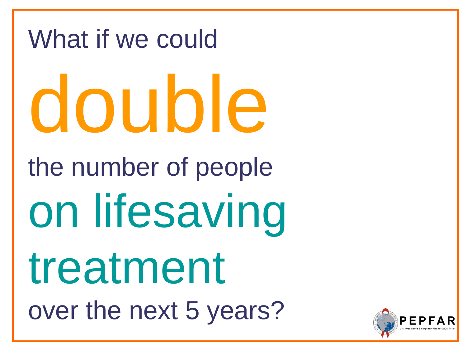# What if we could double the number of people on lifesaving treatment over the next 5 years?

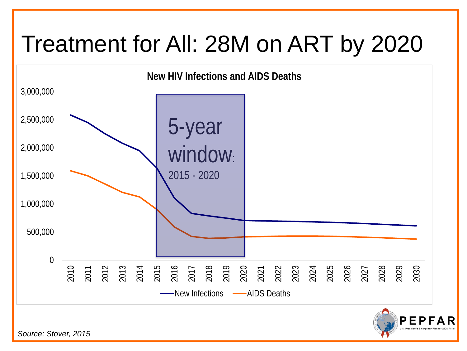# Treatment for All: 28M on ART by 2020



*Source: Stover, 2015*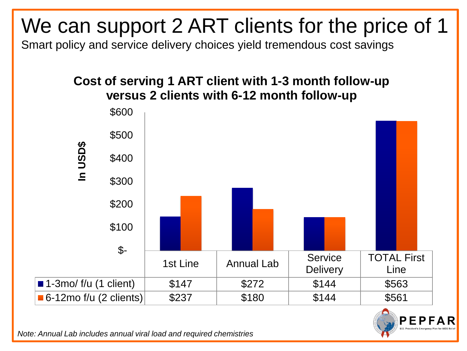# We can support 2 ART clients for the price of 1

Smart policy and service delivery choices yield tremendous cost savings

#### **Cost of serving 1 ART client with 1-3 month follow-up versus 2 clients with 6-12 month follow-up**





*Note: Annual Lab includes annual viral load and required chemistries*